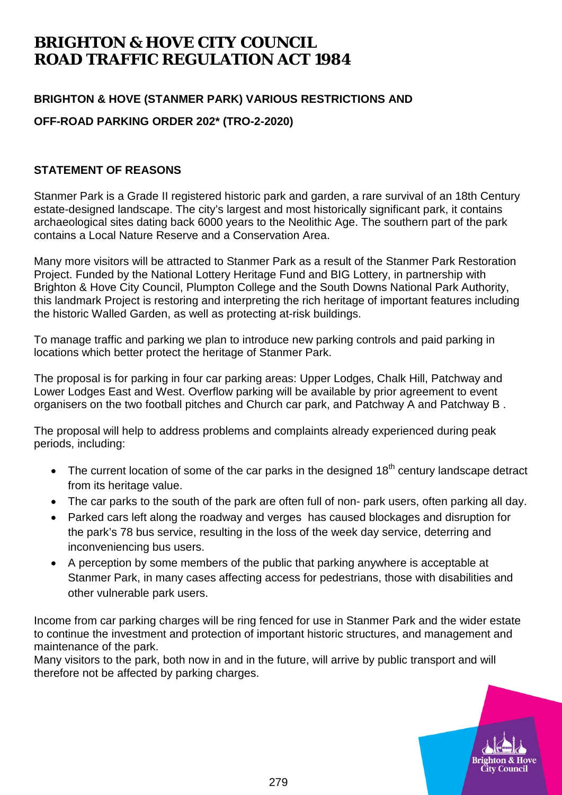## **BRIGHTON & HOVE CITY COUNCIL ROAD TRAFFIC REGULATION ACT 1984**

## **BRIGHTON & HOVE (STANMER PARK) VARIOUS RESTRICTIONS AND**

**OFF-ROAD PARKING ORDER 202\* (TRO-2-2020)**

## **STATEMENT OF REASONS**

Stanmer Park is a Grade II registered historic park and garden, a rare survival of an 18th Century estate-designed landscape. The city's largest and most historically significant park, it contains archaeological sites dating back 6000 years to the Neolithic Age. The southern part of the park contains a Local Nature Reserve and a Conservation Area.

Many more visitors will be attracted to Stanmer Park as a result of the Stanmer Park Restoration Project. Funded by the National Lottery Heritage Fund and BIG Lottery, in partnership with Brighton & Hove City Council, Plumpton College and the South Downs National Park Authority, this landmark Project is restoring and interpreting the rich heritage of important features including the historic Walled Garden, as well as protecting at-risk buildings.

To manage traffic and parking we plan to introduce new parking controls and paid parking in locations which better protect the heritage of Stanmer Park.

The proposal is for parking in four car parking areas: Upper Lodges, Chalk Hill, Patchway and Lower Lodges East and West. Overflow parking will be available by prior agreement to event organisers on the two football pitches and Church car park, and Patchway A and Patchway B .

The proposal will help to address problems and complaints already experienced during peak periods, including:

- The current location of some of the car parks in the designed  $18<sup>th</sup>$  century landscape detract from its heritage value.
- The car parks to the south of the park are often full of non- park users, often parking all day.
- Parked cars left along the roadway and verges has caused blockages and disruption for the park's 78 bus service, resulting in the loss of the week day service, deterring and inconveniencing bus users.
- A perception by some members of the public that parking anywhere is acceptable at Stanmer Park, in many cases affecting access for pedestrians, those with disabilities and other vulnerable park users.

Income from car parking charges will be ring fenced for use in Stanmer Park and the wider estate to continue the investment and protection of important historic structures, and management and maintenance of the park.

Many visitors to the park, both now in and in the future, will arrive by public transport and will therefore not be affected by parking charges.